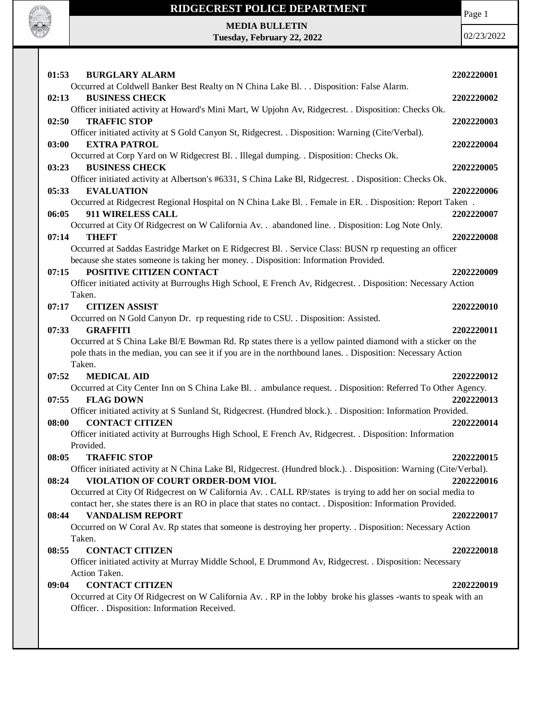

**Tuesday, February 22, 2022**

Page 1

| 01:53<br><b>BURGLARY ALARM</b>                                                                                          | 2202220001 |
|-------------------------------------------------------------------------------------------------------------------------|------------|
| Occurred at Coldwell Banker Best Realty on N China Lake Bl. Disposition: False Alarm.                                   |            |
| 02:13<br><b>BUSINESS CHECK</b>                                                                                          | 2202220002 |
| Officer initiated activity at Howard's Mini Mart, W Upjohn Av, Ridgecrest. . Disposition: Checks Ok.                    |            |
| 02:50<br><b>TRAFFIC STOP</b>                                                                                            | 2202220003 |
| Officer initiated activity at S Gold Canyon St, Ridgecrest. . Disposition: Warning (Cite/Verbal).                       |            |
| 03:00<br><b>EXTRA PATROL</b>                                                                                            | 2202220004 |
| Occurred at Corp Yard on W Ridgecrest Bl. . Illegal dumping. . Disposition: Checks Ok.<br><b>BUSINESS CHECK</b>         |            |
| 03:23<br>Officer initiated activity at Albertson's #6331, S China Lake Bl, Ridgecrest. . Disposition: Checks Ok.        | 2202220005 |
| 05:33<br><b>EVALUATION</b>                                                                                              | 2202220006 |
| Occurred at Ridgecrest Regional Hospital on N China Lake Bl. . Female in ER. . Disposition: Report Taken.               |            |
| 06:05<br>911 WIRELESS CALL                                                                                              | 2202220007 |
| Occurred at City Of Ridgecrest on W California Av. . abandoned line. . Disposition: Log Note Only.                      |            |
| <b>THEFT</b><br>07:14                                                                                                   | 2202220008 |
| Occurred at Saddas Eastridge Market on E Ridgecrest Bl. . Service Class: BUSN rp requesting an officer                  |            |
| because she states someone is taking her money. . Disposition: Information Provided.                                    |            |
| POSITIVE CITIZEN CONTACT<br>07:15                                                                                       | 2202220009 |
| Officer initiated activity at Burroughs High School, E French Av, Ridgecrest. . Disposition: Necessary Action           |            |
| Taken.                                                                                                                  |            |
| <b>CITIZEN ASSIST</b><br>07:17                                                                                          | 2202220010 |
| Occurred on N Gold Canyon Dr. rp requesting ride to CSU. . Disposition: Assisted.                                       |            |
| 07:33<br><b>GRAFFITI</b>                                                                                                | 2202220011 |
| Occurred at S China Lake Bl/E Bowman Rd. Rp states there is a yellow painted diamond with a sticker on the              |            |
| pole thats in the median, you can see it if you are in the northbound lanes. . Disposition: Necessary Action            |            |
| Taken.<br>07:52<br><b>MEDICAL AID</b>                                                                                   | 2202220012 |
| Occurred at City Center Inn on S China Lake Bl. . ambulance request. . Disposition: Referred To Other Agency.           |            |
| <b>FLAG DOWN</b><br>07:55                                                                                               | 2202220013 |
| Officer initiated activity at S Sunland St, Ridgecrest. (Hundred block.). . Disposition: Information Provided.          |            |
| <b>CONTACT CITIZEN</b><br>08:00                                                                                         | 2202220014 |
| Officer initiated activity at Burroughs High School, E French Av, Ridgecrest. . Disposition: Information                |            |
| Provided.                                                                                                               |            |
| 08:05<br><b>TRAFFIC STOP</b>                                                                                            | 2202220015 |
| Officer initiated activity at N China Lake Bl, Ridgecrest. (Hundred block.). . Disposition: Warning (Cite/Verbal).      |            |
| VIOLATION OF COURT ORDER-DOM VIOL<br>08:24                                                                              | 2202220016 |
| Occurred at City Of Ridgecrest on W California Av. . CALL RP/states is trying to add her on social media to             |            |
| contact her, she states there is an RO in place that states no contact. . Disposition: Information Provided.            |            |
| <b>VANDALISM REPORT</b><br>08:44                                                                                        | 2202220017 |
| Occurred on W Coral Av. Rp states that someone is destroying her property. . Disposition: Necessary Action              |            |
| Taken.                                                                                                                  |            |
| <b>CONTACT CITIZEN</b><br>08:55                                                                                         | 2202220018 |
| Officer initiated activity at Murray Middle School, E Drummond Av, Ridgecrest. . Disposition: Necessary                 |            |
| Action Taken.<br><b>CONTACT CITIZEN</b>                                                                                 |            |
| 09:04<br>Occurred at City Of Ridgecrest on W California Av. . RP in the lobby broke his glasses -wants to speak with an | 2202220019 |
| Officer. . Disposition: Information Received.                                                                           |            |
|                                                                                                                         |            |
|                                                                                                                         |            |
|                                                                                                                         |            |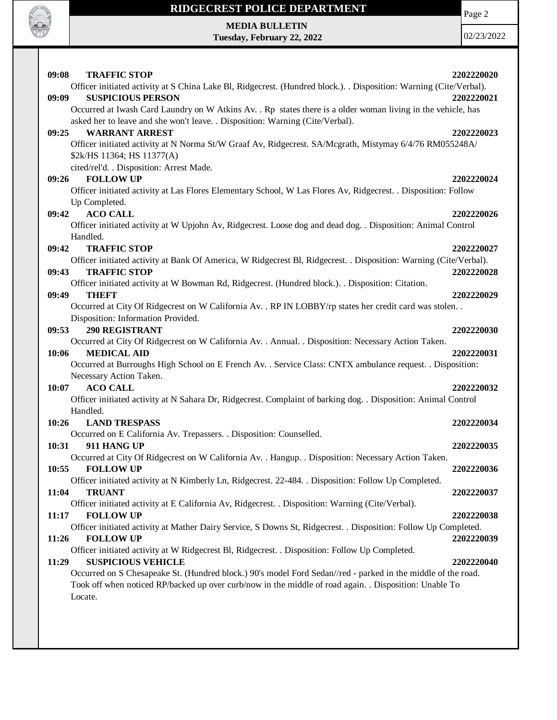

**Tuesday, February 22, 2022**

Page 2

| 09:08<br><b>TRAFFIC STOP</b>                                                                                       | 2202220020 |
|--------------------------------------------------------------------------------------------------------------------|------------|
| Officer initiated activity at S China Lake Bl, Ridgecrest. (Hundred block.). . Disposition: Warning (Cite/Verbal). |            |
| <b>SUSPICIOUS PERSON</b><br>09:09                                                                                  | 2202220021 |
| Occurred at Iwash Card Laundry on W Atkins Av. . Rp states there is a older woman living in the vehicle, has       |            |
| asked her to leave and she won't leave. . Disposition: Warning (Cite/Verbal).                                      |            |
| 09:25<br><b>WARRANT ARREST</b>                                                                                     | 2202220023 |
| Officer initiated activity at N Norma St/W Graaf Av, Ridgecrest. SA/Mcgrath, Mistymay 6/4/76 RM055248A/            |            |
| \$2k/HS 11364; HS 11377(A)                                                                                         |            |
| cited/rel'd. . Disposition: Arrest Made.                                                                           |            |
| <b>FOLLOW UP</b><br>09:26                                                                                          | 2202220024 |
| Officer initiated activity at Las Flores Elementary School, W Las Flores Av, Ridgecrest. . Disposition: Follow     |            |
| Up Completed.                                                                                                      |            |
| <b>ACO CALL</b><br>09:42                                                                                           | 2202220026 |
| Officer initiated activity at W Upjohn Av, Ridgecrest. Loose dog and dead dog. . Disposition: Animal Control       |            |
| Handled.                                                                                                           |            |
| <b>TRAFFIC STOP</b><br>09:42                                                                                       | 2202220027 |
| Officer initiated activity at Bank Of America, W Ridgecrest Bl, Ridgecrest. . Disposition: Warning (Cite/Verbal).  |            |
| <b>TRAFFIC STOP</b><br>09:43                                                                                       | 2202220028 |
| Officer initiated activity at W Bowman Rd, Ridgecrest. (Hundred block.). . Disposition: Citation.                  |            |
| <b>THEFT</b><br>09:49                                                                                              | 2202220029 |
| Occurred at City Of Ridgecrest on W California Av. . RP IN LOBBY/rp states her credit card was stolen. .           |            |
| Disposition: Information Provided.                                                                                 |            |
| <b>290 REGISTRANT</b><br>09:53                                                                                     | 2202220030 |
| Occurred at City Of Ridgecrest on W California Av. . Annual. . Disposition: Necessary Action Taken.                |            |
| <b>MEDICAL AID</b><br>10:06                                                                                        | 2202220031 |
| Occurred at Burroughs High School on E French Av. . Service Class: CNTX ambulance request. . Disposition:          |            |
| Necessary Action Taken.                                                                                            |            |
| 10:07<br><b>ACO CALL</b>                                                                                           | 2202220032 |
| Officer initiated activity at N Sahara Dr, Ridgecrest. Complaint of barking dog. . Disposition: Animal Control     |            |
| Handled.<br>10:26<br><b>LAND TRESPASS</b>                                                                          |            |
| Occurred on E California Av. Trepassers. . Disposition: Counselled.                                                | 2202220034 |
| 10:31<br>911 HANG UP                                                                                               | 2202220035 |
| Occurred at City Of Ridgecrest on W California Av. . Hangup. . Disposition: Necessary Action Taken.                |            |
| 10:55<br><b>FOLLOW UP</b>                                                                                          | 2202220036 |
| Officer initiated activity at N Kimberly Ln, Ridgecrest. 22-484. . Disposition: Follow Up Completed.               |            |
| 11:04<br><b>TRUANT</b>                                                                                             | 2202220037 |
| Officer initiated activity at E California Av, Ridgecrest. . Disposition: Warning (Cite/Verbal).                   |            |
| 11:17<br><b>FOLLOW UP</b>                                                                                          | 2202220038 |
| Officer initiated activity at Mather Dairy Service, S Downs St, Ridgecrest. . Disposition: Follow Up Completed.    |            |
| <b>FOLLOW UP</b><br>11:26                                                                                          | 2202220039 |
| Officer initiated activity at W Ridgecrest Bl, Ridgecrest. . Disposition: Follow Up Completed.                     |            |
| <b>SUSPICIOUS VEHICLE</b><br>11:29                                                                                 | 2202220040 |
| Occurred on S Chesapeake St. (Hundred block.) 90's model Ford Sedan//red - parked in the middle of the road.       |            |
| Took off when noticed RP/backed up over curb/now in the middle of road again. . Disposition: Unable To             |            |
| Locate.                                                                                                            |            |
|                                                                                                                    |            |
|                                                                                                                    |            |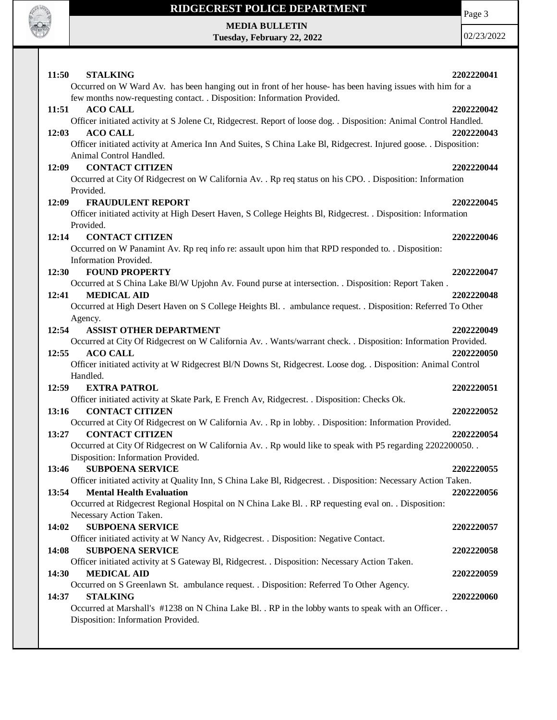

## **RIDGECREST POLICE DEPARTMENT**

Page 3

**MEDIA BULLETIN Tuesday, February 22, 2022**

| 11:50<br><b>STALKING</b>                                                                                                                          | 2202220041 |
|---------------------------------------------------------------------------------------------------------------------------------------------------|------------|
| Occurred on W Ward Av. has been hanging out in front of her house- has been having issues with him for a                                          |            |
| few months now-requesting contact. . Disposition: Information Provided.                                                                           |            |
| 11:51<br><b>ACO CALL</b>                                                                                                                          | 2202220042 |
| Officer initiated activity at S Jolene Ct, Ridgecrest. Report of loose dog. . Disposition: Animal Control Handled.                                |            |
| 12:03<br><b>ACO CALL</b>                                                                                                                          | 2202220043 |
| Officer initiated activity at America Inn And Suites, S China Lake Bl, Ridgecrest. Injured goose. . Disposition:                                  |            |
| Animal Control Handled.                                                                                                                           |            |
| <b>CONTACT CITIZEN</b><br>12:09                                                                                                                   | 2202220044 |
| Occurred at City Of Ridgecrest on W California Av. . Rp req status on his CPO. . Disposition: Information                                         |            |
| Provided.                                                                                                                                         |            |
| <b>FRAUDULENT REPORT</b><br>12:09                                                                                                                 | 2202220045 |
| Officer initiated activity at High Desert Haven, S College Heights Bl, Ridgecrest. . Disposition: Information                                     |            |
| Provided.                                                                                                                                         |            |
| 12:14<br><b>CONTACT CITIZEN</b>                                                                                                                   | 2202220046 |
| Occurred on W Panamint Av. Rp req info re: assault upon him that RPD responded to. . Disposition:                                                 |            |
| Information Provided.                                                                                                                             |            |
| <b>FOUND PROPERTY</b><br><b>12:30</b>                                                                                                             | 2202220047 |
| Occurred at S China Lake Bl/W Upjohn Av. Found purse at intersection. . Disposition: Report Taken.                                                |            |
| 12:41<br><b>MEDICAL AID</b>                                                                                                                       | 2202220048 |
| Occurred at High Desert Haven on S College Heights Bl. . ambulance request. . Disposition: Referred To Other                                      |            |
| Agency.                                                                                                                                           |            |
| 12:54<br><b>ASSIST OTHER DEPARTMENT</b>                                                                                                           | 2202220049 |
| Occurred at City Of Ridgecrest on W California Av. . Wants/warrant check. . Disposition: Information Provided.                                    |            |
| <b>ACO CALL</b><br>12:55                                                                                                                          | 2202220050 |
| Officer initiated activity at W Ridgecrest Bl/N Downs St, Ridgecrest. Loose dog. . Disposition: Animal Control                                    |            |
| Handled.                                                                                                                                          |            |
| 12:59<br><b>EXTRA PATROL</b>                                                                                                                      | 2202220051 |
| Officer initiated activity at Skate Park, E French Av, Ridgecrest. . Disposition: Checks Ok.                                                      |            |
| <b>CONTACT CITIZEN</b><br>13:16                                                                                                                   | 2202220052 |
| Occurred at City Of Ridgecrest on W California Av. . Rp in lobby. . Disposition: Information Provided.                                            |            |
| <b>CONTACT CITIZEN</b><br>13:27                                                                                                                   | 2202220054 |
| Occurred at City Of Ridgecrest on W California Av. . Rp would like to speak with P5 regarding 2202200050. .                                       |            |
| Disposition: Information Provided.                                                                                                                |            |
| 13:46<br><b>SUBPOENA SERVICE</b>                                                                                                                  | 2202220055 |
| Officer initiated activity at Quality Inn, S China Lake Bl, Ridgecrest. . Disposition: Necessary Action Taken.<br><b>Mental Health Evaluation</b> |            |
| 13:54                                                                                                                                             | 2202220056 |
| Occurred at Ridgecrest Regional Hospital on N China Lake Bl. . RP requesting eval on. . Disposition:                                              |            |
| Necessary Action Taken.<br><b>SUBPOENA SERVICE</b><br>14:02                                                                                       | 2202220057 |
| Officer initiated activity at W Nancy Av, Ridgecrest. . Disposition: Negative Contact.                                                            |            |
| 14:08<br><b>SUBPOENA SERVICE</b>                                                                                                                  | 2202220058 |
| Officer initiated activity at S Gateway Bl, Ridgecrest. . Disposition: Necessary Action Taken.                                                    |            |
| 14:30<br><b>MEDICAL AID</b>                                                                                                                       | 2202220059 |
| Occurred on S Greenlawn St. ambulance request. . Disposition: Referred To Other Agency.                                                           |            |
| <b>STALKING</b><br>14:37                                                                                                                          | 2202220060 |
| Occurred at Marshall's #1238 on N China Lake Bl. . RP in the lobby wants to speak with an Officer. .                                              |            |
| Disposition: Information Provided.                                                                                                                |            |
|                                                                                                                                                   |            |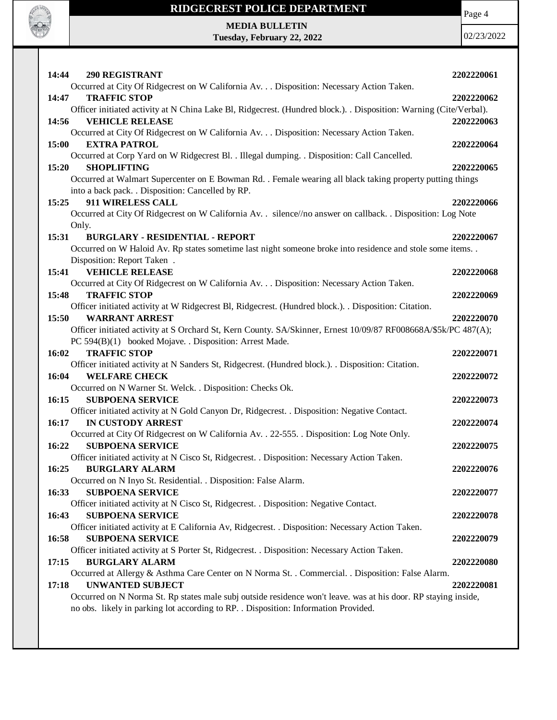

**Tuesday, February 22, 2022**

Page 4

| <b>290 REGISTRANT</b><br>14:44                                                                                                                                 | 2202220061 |
|----------------------------------------------------------------------------------------------------------------------------------------------------------------|------------|
| Occurred at City Of Ridgecrest on W California Av. Disposition: Necessary Action Taken.<br><b>TRAFFIC STOP</b><br>14:47                                        | 2202220062 |
| Officer initiated activity at N China Lake Bl, Ridgecrest. (Hundred block.). . Disposition: Warning (Cite/Verbal).<br><b>VEHICLE RELEASE</b><br>14:56          | 2202220063 |
| Occurred at City Of Ridgecrest on W California Av. Disposition: Necessary Action Taken.<br>15:00<br><b>EXTRA PATROL</b>                                        | 2202220064 |
| Occurred at Corp Yard on W Ridgecrest Bl. . Illegal dumping. . Disposition: Call Cancelled.<br>15:20<br><b>SHOPLIFTING</b>                                     | 2202220065 |
| Occurred at Walmart Supercenter on E Bowman Rd. . Female wearing all black taking property putting things<br>into a back pack. . Disposition: Cancelled by RP. |            |
| 911 WIRELESS CALL<br>15:25<br>Occurred at City Of Ridgecrest on W California Av. . silence//no answer on callback. . Disposition: Log Note                     | 2202220066 |
| Only.<br>15:31<br><b>BURGLARY - RESIDENTIAL - REPORT</b>                                                                                                       | 2202220067 |
| Occurred on W Haloid Av. Rp states sometime last night someone broke into residence and stole some items. .<br>Disposition: Report Taken.                      |            |
| 15:41<br><b>VEHICLE RELEASE</b><br>Occurred at City Of Ridgecrest on W California Av. Disposition: Necessary Action Taken.                                     | 2202220068 |
| <b>TRAFFIC STOP</b><br>15:48<br>Officer initiated activity at W Ridgecrest Bl, Ridgecrest. (Hundred block.). Disposition: Citation.                            | 2202220069 |
| <b>WARRANT ARREST</b><br>15:50<br>Officer initiated activity at S Orchard St, Kern County. SA/Skinner, Ernest 10/09/87 RF008668A/\$5k/PC 487(A);               | 2202220070 |
| PC 594(B)(1) booked Mojave. . Disposition: Arrest Made.<br><b>TRAFFIC STOP</b><br>16:02                                                                        | 2202220071 |
| Officer initiated activity at N Sanders St, Ridgecrest. (Hundred block.). . Disposition: Citation.                                                             |            |
| 16:04<br><b>WELFARE CHECK</b><br>Occurred on N Warner St. Welck. . Disposition: Checks Ok.                                                                     | 2202220072 |
| 16:15<br><b>SUBPOENA SERVICE</b><br>Officer initiated activity at N Gold Canyon Dr, Ridgecrest. . Disposition: Negative Contact.                               | 2202220073 |
| 16:17<br>IN CUSTODY ARREST<br>Occurred at City Of Ridgecrest on W California Av. . 22-555. . Disposition: Log Note Only.                                       | 2202220074 |
| 16:22<br><b>SUBPOENA SERVICE</b><br>Officer initiated activity at N Cisco St, Ridgecrest. . Disposition: Necessary Action Taken.                               | 2202220075 |
| 16:25<br><b>BURGLARY ALARM</b><br>Occurred on N Inyo St. Residential. . Disposition: False Alarm.                                                              | 2202220076 |
| 16:33<br><b>SUBPOENA SERVICE</b><br>Officer initiated activity at N Cisco St, Ridgecrest. . Disposition: Negative Contact.                                     | 2202220077 |
| 16:43<br><b>SUBPOENA SERVICE</b><br>Officer initiated activity at E California Av, Ridgecrest. . Disposition: Necessary Action Taken.                          | 2202220078 |
| 16:58<br><b>SUBPOENA SERVICE</b><br>Officer initiated activity at S Porter St, Ridgecrest. . Disposition: Necessary Action Taken.                              | 2202220079 |
| <b>BURGLARY ALARM</b><br>17:15<br>Occurred at Allergy & Asthma Care Center on N Norma St. . Commercial. . Disposition: False Alarm.                            | 2202220080 |
| <b>UNWANTED SUBJECT</b><br>17:18<br>Occurred on N Norma St. Rp states male subj outside residence won't leave. was at his door. RP staying inside,             | 2202220081 |
| no obs. likely in parking lot according to RP. . Disposition: Information Provided.                                                                            |            |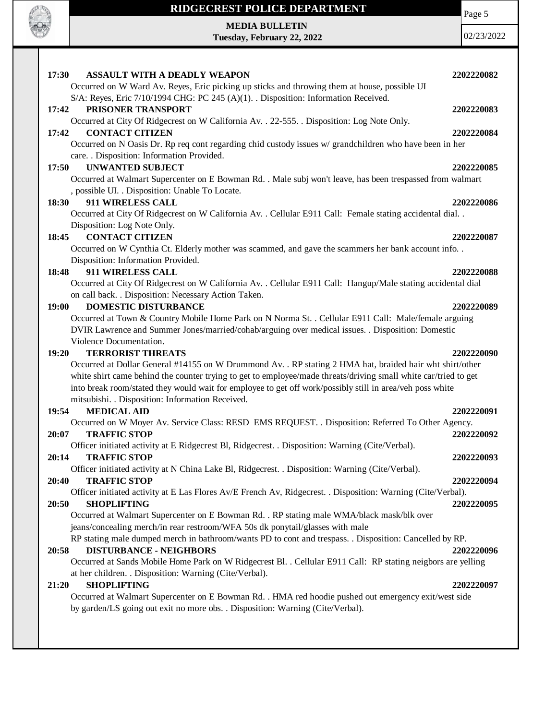